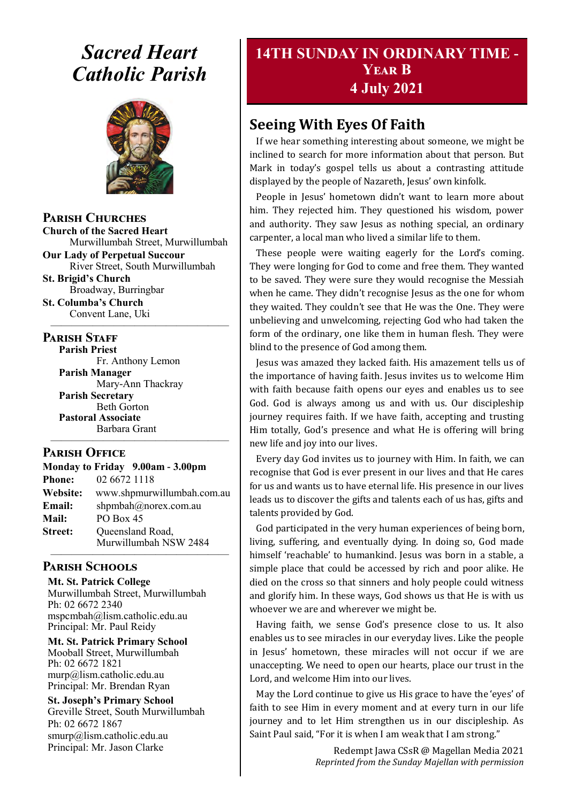## *Sacred Heart Catholic Parish*



**Parish Churches**

**Church of the Sacred Heart** Murwillumbah Street, Murwillumbah

**Our Lady of Perpetual Succour** River Street, South Murwillumbah **St. Brigid's Church**

Broadway, Burringbar **St. Columba's Church**

Convent Lane, Uki —————————————————

#### **PARISH STAFF**

**Parish Priest** Fr. Anthony Lemon **Parish Manager** Mary-Ann Thackray **Parish Secretary** Beth Gorton **Pastoral Associate** Barbara Grant

#### **Parish Office**

**Monday to Friday 9.00am - 3.00pm Phone:** 02 6672 1118 **Website:** www.shpmurwillumbah.com.au **Email:** shpmbah@norex.com.au **Mail:** PO Box 45 **Street:** Oueensland Road, Murwillumbah NSW 2484

—————————————————

#### ————————————————— **Parish Schools**

**Mt. St. Patrick College** Murwillumbah Street, Murwillumbah Ph: 02 6672 2340 mspcmbah@lism.catholic.edu.au Principal: Mr. Paul Reidy

**Mt. St. Patrick Primary School** Mooball Street, Murwillumbah Ph: 02 6672 1821 murp@lism.catholic.edu.au Principal: Mr. Brendan Ryan

**St. Joseph's Primary School** Greville Street, South Murwillumbah Ph: 02 6672 1867 smurp@lism.catholic.edu.au Principal: Mr. Jason Clarke

## **14TH SUNDAY IN ORDINARY TIME - Year B 4 July 2021**

## **Seeing With Eyes Of Faith**

If we hear something interesting about someone, we might be inclined to search for more information about that person. But Mark in today's gospel tells us about a contrasting attitude displayed by the people of Nazareth, Jesus' own kinfolk.

People in Jesus' hometown didn't want to learn more about him. They rejected him. They questioned his wisdom, power and authority. They saw Jesus as nothing special, an ordinary carpenter, a local man who lived a similar life to them.

These people were waiting eagerly for the Lord's coming. They were longing for God to come and free them. They wanted to be saved. They were sure they would recognise the Messiah when he came. They didn't recognise Jesus as the one for whom they waited. They couldn't see that He was the One. They were unbelieving and unwelcoming, rejecting God who had taken the form of the ordinary, one like them in human flesh. They were blind to the presence of God among them.

Jesus was amazed they lacked faith. His amazement tells us of the importance of having faith. Jesus invites us to welcome Him with faith because faith opens our eyes and enables us to see God. God is always among us and with us. Our discipleship journey requires faith. If we have faith, accepting and trusting Him totally, God's presence and what He is offering will bring new life and joy into our lives.

Every day God invites us to journey with Him. In faith, we can recognise that God is ever present in our lives and that He cares for us and wants us to have eternal life. His presence in our lives leads us to discover the gifts and talents each of us has, gifts and talents provided by God.

God participated in the very human experiences of being born, living, suffering, and eventually dying. In doing so, God made himself 'reachable' to humankind. Jesus was born in a stable, a simple place that could be accessed by rich and poor alike. He died on the cross so that sinners and holy people could witness and glorify him. In these ways, God shows us that He is with us whoever we are and wherever we might be.

Having faith, we sense God's presence close to us. It also enables us to see miracles in our everyday lives. Like the people in Jesus' hometown, these miracles will not occur if we are unaccepting. We need to open our hearts, place our trust in the Lord, and welcome Him into our lives.

May the Lord continue to give us His grace to have the 'eyes' of faith to see Him in every moment and at every turn in our life journey and to let Him strengthen us in our discipleship. As Saint Paul said, "For it is when I am weak that I am strong."

> Redempt Jawa CSsR @ Magellan Media 2021 *Reprinted from the Sunday Majellan with permission*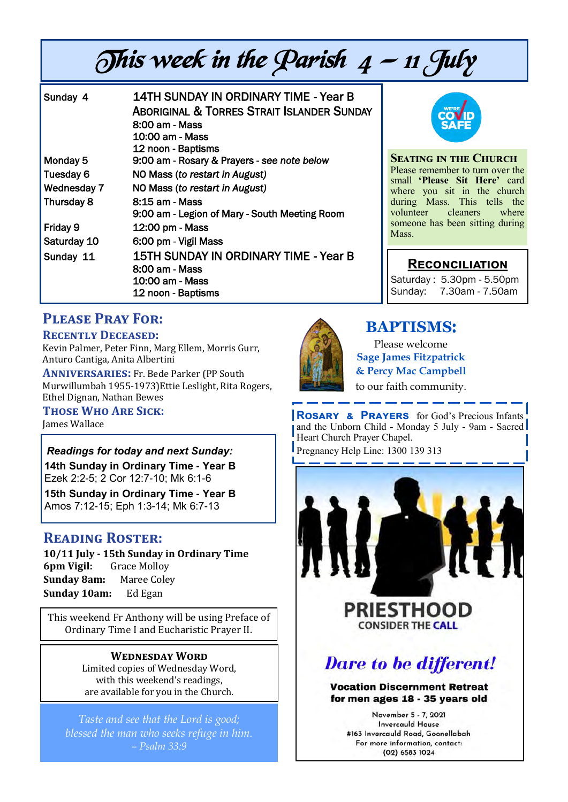# This week in the Parish  $4 - 11$  July

| Sunday 4           | 14TH SUNDAY IN ORDINARY TIME - Year B<br><b>ABORIGINAL &amp; TORRES STRAIT ISLANDER SUNDAY</b><br>8:00 am - Mass<br>10:00 am - Mass<br>12 noon - Baptisms |
|--------------------|-----------------------------------------------------------------------------------------------------------------------------------------------------------|
| Monday 5           | 9:00 am - Rosary & Prayers - see note below                                                                                                               |
| Tuesday 6          | NO Mass (to restart in August)                                                                                                                            |
| <b>Wednesday 7</b> | NO Mass (to restart in August)                                                                                                                            |
| Thursday 8         | 8:15 am - Mass<br>9:00 am - Legion of Mary - South Meeting Room                                                                                           |
| Friday 9           | 12:00 pm - Mass                                                                                                                                           |
| Saturday 10        | 6:00 pm - Vigil Mass                                                                                                                                      |
| Sunday 11          | 15TH SUNDAY IN ORDINARY TIME - Year B<br>8:00 am - Mass<br>10:00 am - Mass<br>12 noon - Baptisms                                                          |



**Seating in the Church** Please remember to turn over the small **'Please Sit Here'** card where you sit in the church during Mass. This tells the<br>volunteer cleaners where volunteer cleaners someone has been sitting during Mass.

## **Reconciliation**

Saturday : 5.30pm - 5.50pm Sunday: 7.30am - 7.50am

## **Please Pray For:**

#### **Recently Deceased:**

Kevin Palmer, Peter Finn, Marg Ellem, Morris Gurr, Anturo Cantiga, Anita Albertini

**Anniversaries:** Fr. Bede Parker (PP South Murwillumbah 1955-1973)Ettie Leslight, Rita Rogers, Ethel Dignan, Nathan Bewes

#### **Those Who Are Sick:**

James Wallace

#### *Readings for today and next Sunday:*

**14th Sunday in Ordinary Time - Year B**  Ezek 2:2-5; 2 Cor 12:7-10; Mk 6:1-6

**15th Sunday in Ordinary Time - Year B**  Amos 7:12-15; Eph 1:3-14; Mk 6:7-13

## **Reading Roster:**

**10/11 July - 15th Sunday in Ordinary Time 6pm Vigil:** Grace Molloy **Sunday 8am:** Maree Coley **Sunday 10am:** Ed Egan

This weekend Fr Anthony will be using Preface of Ordinary Time I and Eucharistic Prayer II.

#### **Wednesday Word**

Limited copies of Wednesday Word, with this weekend's readings, are available for you in the Church.

*Taste and see that the Lord is good; blessed the man who seeks refuge in him. – Psalm 33:9*



## **BAPTISMS**:

Please welcome **Sage James Fitzpatrick & Percy Mac Campbell** to our faith community.

**Rosary & Prayers** for God's Precious Infants and the Unborn Child - Monday 5 July - 9am - Sacred Heart Church Prayer Chapel. Pregnancy Help Line: 1300 139 313

**PRIESTHOOD CONSIDER THE CALL** 

## **Dare to be different!**

#### **Vocation Discernment Retreat** for men ages 18 - 35 years old

November 5 - 7, 2021 **Invercauld House** #163 Invercauld Road, Goonellabah For more information, contact: (02) 6583 1024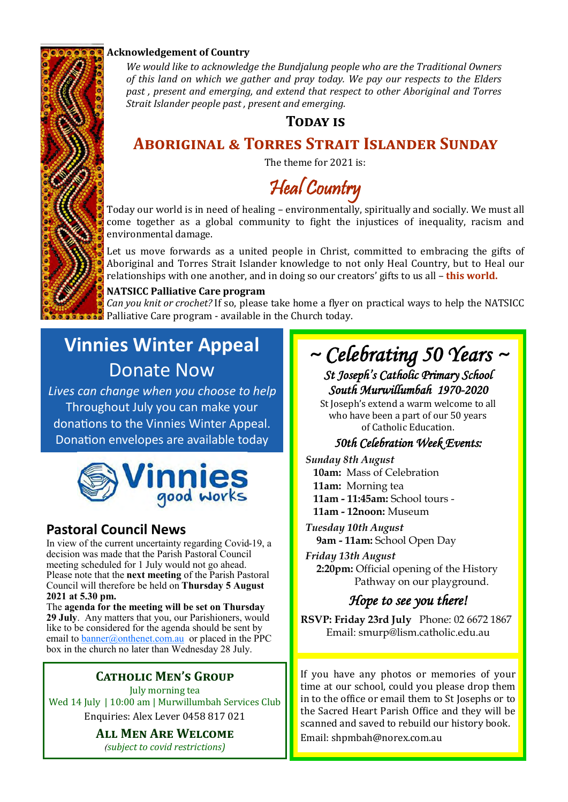

#### **Acknowledgement of Country**

*We would like to acknowledge the Bundjalung people who are the Traditional Owners of this land on which we gather and pray today. We pay our respects to the Elders past , present and emerging, and extend that respect to other Aboriginal and Torres Strait Islander people past , present and emerging.* 

### **TODAY IS**

## **Aboriginal & Torres Strait Islander Sunday**

The theme for 2021 is:

Heal Country

Today our world is in need of healing – environmentally, spiritually and socially. We must all come together as a global community to fight the injustices of inequality, racism and environmental damage.

Let us move forwards as a united people in Christ, committed to embracing the gifts of Aboriginal and Torres Strait Islander knowledge to not only Heal Country, but to Heal our relationships with one another, and in doing so our creators' gifts to us all – **this world.** 

#### **NATSICC Palliative Care program**

*Can you knit or crochet?* If so, please take home a flyer on practical ways to help the NATSICC Palliative Care program - available in the Church today.

## **Vinnies Winter Appeal** Donate Now

*Lives can change when you choose to help* Throughout July you can make your donations to the Vinnies Winter Appeal. Donation envelopes are available today



## **Pastoral Council News**

In view of the current uncertainty regarding Covid-19, a decision was made that the Parish Pastoral Council meeting scheduled for 1 July would not go ahead. Please note that the **next meeting** of the Parish Pastoral Council will therefore be held on **Thursday 5 August 2021 at 5.30 pm.**

The **agenda for the meeting will be set on Thursday 29 July**. Any matters that you, our Parishioners, would like to be considered for the agenda should be sent by email to **banner@onthenet.com.au** or placed in the PPC box in the church no later than Wednesday 28 July.

## **Catholic Men's Group**

July morning tea Wed 14 July | 10:00 am | Murwillumbah Services Club Enquiries: Alex Lever 0458 817 021

### **All Men Are Welcome**

*(subject to covid restrictions)*

## *~ Celebrating 50 Years ~ St Joseph's Catholic Primary School*

*South Murwillumbah 1970-2020* 

St Joseph's extend a warm welcome to all who have been a part of our 50 years of Catholic Education.

## *50th Celebration Week Events:*

*Sunday 8th August*  **10am:** Mass of Celebration **11am:** Morning tea **11am - 11:45am:** School tours - **11am - 12noon:** Museum

*Tuesday 10th August*  **9am - 11am:** School Open Day

*Friday 13th August*  **2:20pm:** Official opening of the History Pathway on our playground.

## *Hope to see you there!*

**RSVP: Friday 23rd July** Phone: 02 6672 1867 Email: smurp@lism.catholic.edu.au

If you have any photos or memories of your time at our school, could you please drop them in to the office or email them to St Josephs or to the Sacred Heart Parish Office and they will be scanned and saved to rebuild our history book. Email: shpmbah@norex.com.au